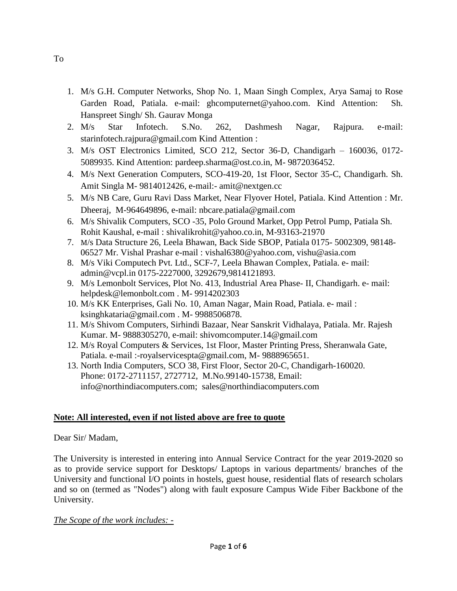- 1. M/s G.H. Computer Networks, Shop No. 1, Maan Singh Complex, Arya Samaj to Rose Garden Road, Patiala. e-mail: [ghcomputernet@yahoo.com.](mailto:ghcomputernet@yahoo.com) Kind Attention: Sh. Hanspreet Singh/ Sh. Gaurav Monga
- 2. M/s Star Infotech. S.No. 262, Dashmesh Nagar, Rajpura. e-mail: [starinfotech.rajpura@gmail.com](mailto:starinfotech.rajpura@gmail.com) Kind Attention :
- 3. M/s OST Electronics Limited, SCO 212, Sector 36-D, Chandigarh 160036, 0172- 5089935. Kind Attention: pardeep.sharma@ost.co.in, M- 9872036452.
- 4. M/s Next Generation Computers, SCO-419-20, 1st Floor, Sector 35-C, Chandigarh. Sh. Amit Singla M- 9814012426, e-mail:- amit@nextgen.cc
- 5. M/s NB Care, Guru Ravi Dass Market, Near Flyover Hotel, Patiala. Kind Attention : Mr. Dheeraj, M-964649896, e-mail: nbcare.patiala@gmail.com
- 6. M/s Shivalik Computers, SCO -35, Polo Ground Market, Opp Petrol Pump, Patiala Sh. Rohit Kaushal, e-mail : shivalikrohit@yahoo.co.in, M-93163-21970
- 7. M/s Data Structure 26, Leela Bhawan, Back Side SBOP, Patiala 0175- 5002309, 98148- 06527 Mr. Vishal Prashar e-mail : vishal6380@yahoo.com, vishu@asia.com
- 8. M/s Viki Computech Pvt. Ltd., SCF-7, Leela Bhawan Complex, Patiala. e- mail: admin@vcpl.in 0175-2227000, 3292679,9814121893.
- 9. M/s Lemonbolt Services, Plot No. 413, Industrial Area Phase- II, Chandigarh. e- mail: helpdesk@lemonbolt.com . M- 9914202303
- 10. M/s KK Enterprises, Gali No. 10, Aman Nagar, Main Road, Patiala. e- mail : ksinghkataria@gmail.com . M- 9988506878.
- 11. M/s Shivom Computers, Sirhindi Bazaar, Near Sanskrit Vidhalaya, Patiala. Mr. Rajesh Kumar. M- 9888305270, e-mail: shivomcomputer.14@gmail.com
- 12. M/s Royal Computers & Services, 1st Floor, Master Printing Press, Sheranwala Gate, Patiala. e-mail :-royalservicespta@gmail.com, M-9888965651.
- 13. North India Computers, SCO 38, First Floor, Sector 20-C, Chandigarh-160020. Phone: 0172-2711157, 2727712, M.No.99140-15738, Email: info@northindiacomputers.com; sales@northindiacomputers.com

# **Note: All interested, even if not listed above are free to quote**

### Dear Sir/ Madam,

The University is interested in entering into Annual Service Contract for the year 2019-2020 so as to provide service support for Desktops/ Laptops in various departments/ branches of the University and functional I/O points in hostels, guest house, residential flats of research scholars and so on (termed as "Nodes") along with fault exposure Campus Wide Fiber Backbone of the University.

### *The Scope of the work includes: -*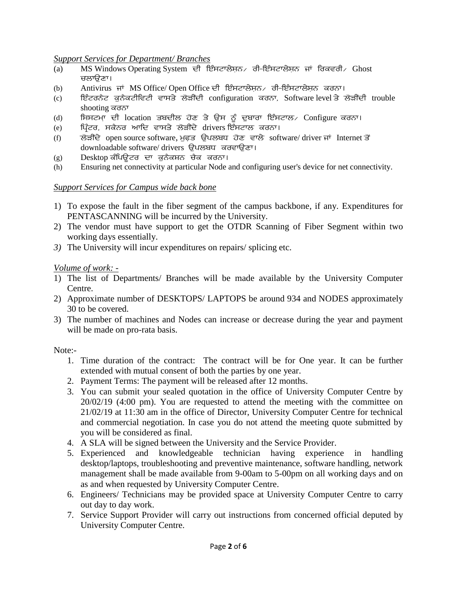#### *Support Services for Department/ Branches*

- (a) MS Windows Operating System ਦੀ ਇੰਸਟਾਲੇਸ਼ਨ∕ ਰੀ-ਇੰਸਟਾਲੇਸ਼ਨ ਜਾਂ ਰਿਕਵਰੀ∕ Ghost ਚਲਾਉਣਾ।
- (b) Antivirus ਜਾਂ MS Office/ Open Office ਦੀ ਇੰਸਟਾਲੇਸਨ ਰੀ-ਇੰਸਟਾਲੇਸਨ ਕਰਨਾ।
- (c) ਜਿੰਦਰਨੈਟ ਕੁਨੈਕਟੀਵਿਟੀ ਵਾਸਤੇ ਲੋੜੀਂਦੀ configuration ਕਰਨਾ, Software-level ਤੇ ਲੋੜੀਂਦੀ trouble shooting ਕਰਨਾ
- (d) ਸਿਸਟਮਾ ਦੀ location ਤਬਦੀਲ ਹੋਣ ਤੇ ਉਸ ਨੂੰ ਦੁਬਾਰਾ ਇੰਸਟਾਲ⁄ Configure ਕਰਨਾ।
- (e) ਪ੍ਰਿੰਟਰ, ਸਕੈਨਰ ਆਦਿ ਵਾਸਤੇ ਲੋੜੀਂਦੇ drivers ਇੰਸਟਾਲ ਕਰਨਾ।
- (f)  $\vec{B}$   $\vec{B}$   $\vec{C}$  open source software, ਮੁਫਤ ਉਪਲਬਧ ਹੋਣ ਵਾਲੇ software/ driver ਜਾਂ Internet ਤੋਂ downloadable software/ drivers ਉਪਲਬਧ ਕਰਵਾਉਣਾ।
- (g) Desktop ਕੰਪਿਉਟਰ ਦਾ ਕੁਨੈਕਸ਼ਨ ਚੈਕ ਕਰਨਾ।
- (h) Ensuring net connectivity at particular Node and configuring user's device for net connectivity.

#### *Support Services for Campus wide back bone*

- 1) To expose the fault in the fiber segment of the campus backbone, if any. Expenditures for PENTASCANNING will be incurred by the University.
- 2) The vendor must have support to get the OTDR Scanning of Fiber Segment within two working days essentially.
- *3)* The University will incur expenditures on repairs/ splicing etc.

#### *Volume of work: -*

- 1) The list of Departments/ Branches will be made available by the University Computer Centre.
- 2) Approximate number of DESKTOPS/ LAPTOPS be around 934 and NODES approximately 30 to be covered.
- 3) The number of machines and Nodes can increase or decrease during the year and payment will be made on pro-rata basis.

Note:-

- 1. Time duration of the contract: The contract will be for One year. It can be further extended with mutual consent of both the parties by one year.
- 2. Payment Terms: The payment will be released after 12 months.
- 3. You can submit your sealed quotation in the office of University Computer Centre by 20/02/19 (4:00 pm). You are requested to attend the meeting with the committee on 21/02/19 at 11:30 am in the office of Director, University Computer Centre for technical and commercial negotiation. In case you do not attend the meeting quote submitted by you will be considered as final.
- 4. A SLA will be signed between the University and the Service Provider.
- 5. Experienced and knowledgeable technician having experience in handling desktop/laptops, troubleshooting and preventive maintenance, software handling, network management shall be made available from 9-00am to 5-00pm on all working days and on as and when requested by University Computer Centre.
- 6. Engineers/ Technicians may be provided space at University Computer Centre to carry out day to day work.
- 7. Service Support Provider will carry out instructions from concerned official deputed by University Computer Centre.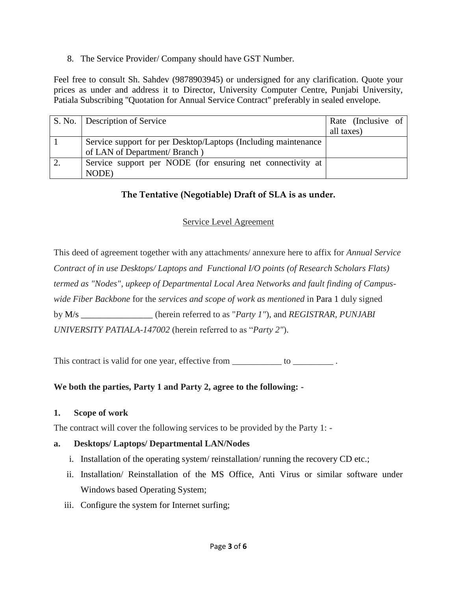8. The Service Provider/ Company should have GST Number.

Feel free to consult Sh. Sahdev (9878903945) or undersigned for any clarification. Quote your prices as under and address it to Director, University Computer Centre, Punjabi University, Patiala Subscribing ''Quotation for Annual Service Contract'' preferably in sealed envelope.

| S. No. Description of Service                                  | Rate (Inclusive of |
|----------------------------------------------------------------|--------------------|
|                                                                | all taxes)         |
| Service support for per Desktop/Laptops (Including maintenance |                    |
| of LAN of Department/ Branch)                                  |                    |
| Service support per NODE (for ensuring net connectivity at     |                    |
| NODE)                                                          |                    |

# **The Tentative (Negotiable) Draft of SLA is as under.**

# Service Level Agreement

This deed of agreement together with any attachments/ annexure here to affix for *Annual Service Contract of in use Desktops/ Laptops and Functional I/O points (of Research Scholars Flats) termed as "Nodes", upkeep of Departmental Local Area Networks and fault finding of Campuswide Fiber Backbone* for the *services and scope of work as mentioned* in Para 1 duly signed by M/s \_\_\_\_\_\_\_\_\_\_\_\_\_\_\_\_ (herein referred to as "*Party 1"*), and *REGISTRAR, PUNJABI UNIVERSITY PATIALA-147002* (herein referred to as "*Party 2"*).

This contract is valid for one year, effective from \_\_\_\_\_\_\_\_\_\_\_ to \_\_\_\_\_\_\_\_\_\_.

# **We both the parties, Party 1 and Party 2, agree to the following: -**

### **1. Scope of work**

The contract will cover the following services to be provided by the Party 1: -

# **a. Desktops/ Laptops/ Departmental LAN/Nodes**

- i. Installation of the operating system/ reinstallation/ running the recovery CD etc.;
- ii. Installation/ Reinstallation of the MS Office, Anti Virus or similar software under Windows based Operating System;
- iii. Configure the system for Internet surfing;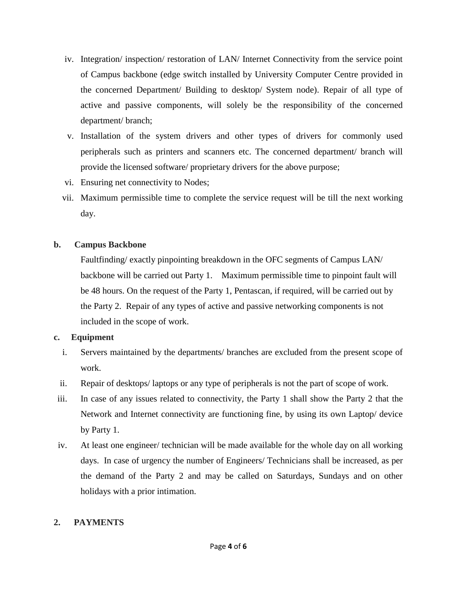- iv. Integration/ inspection/ restoration of LAN/ Internet Connectivity from the service point of Campus backbone (edge switch installed by University Computer Centre provided in the concerned Department/ Building to desktop/ System node). Repair of all type of active and passive components, will solely be the responsibility of the concerned department/ branch;
- v. Installation of the system drivers and other types of drivers for commonly used peripherals such as printers and scanners etc. The concerned department/ branch will provide the licensed software/ proprietary drivers for the above purpose;
- vi. Ensuring net connectivity to Nodes;
- vii. Maximum permissible time to complete the service request will be till the next working day.

### **b. Campus Backbone**

Faultfinding/ exactly pinpointing breakdown in the OFC segments of Campus LAN/ backbone will be carried out Party 1. Maximum permissible time to pinpoint fault will be 48 hours. On the request of the Party 1, Pentascan, if required, will be carried out by the Party 2. Repair of any types of active and passive networking components is not included in the scope of work.

### **c. Equipment**

- i. Servers maintained by the departments/ branches are excluded from the present scope of work.
- ii. Repair of desktops/ laptops or any type of peripherals is not the part of scope of work.
- iii. In case of any issues related to connectivity, the Party 1 shall show the Party 2 that the Network and Internet connectivity are functioning fine, by using its own Laptop/ device by Party 1.
- iv. At least one engineer/ technician will be made available for the whole day on all working days. In case of urgency the number of Engineers/ Technicians shall be increased, as per the demand of the Party 2 and may be called on Saturdays, Sundays and on other holidays with a prior intimation.

### **2. PAYMENTS**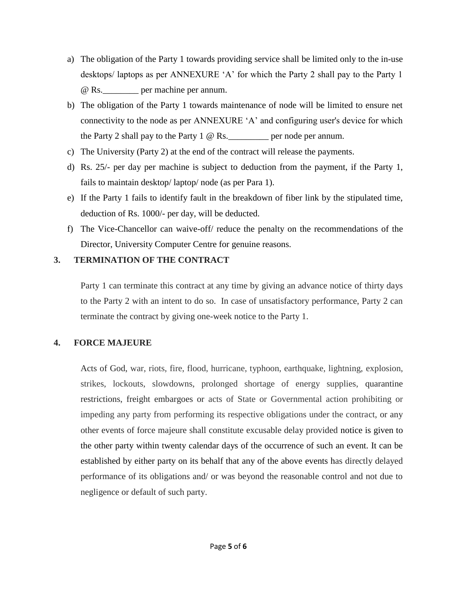- a) The obligation of the Party 1 towards providing service shall be limited only to the in-use desktops/ laptops as per ANNEXURE 'A' for which the Party 2 shall pay to the Party 1 @ Rs.\_\_\_\_\_\_\_\_ per machine per annum.
- b) The obligation of the Party 1 towards maintenance of node will be limited to ensure net connectivity to the node as per ANNEXURE 'A' and configuring user's device for which the Party 2 shall pay to the Party 1  $\omega$  Rs. per node per annum.
- c) The University (Party 2) at the end of the contract will release the payments.
- d) Rs. 25/- per day per machine is subject to deduction from the payment, if the Party 1, fails to maintain desktop/ laptop/ node (as per Para 1).
- e) If the Party 1 fails to identify fault in the breakdown of fiber link by the stipulated time, deduction of Rs. 1000/- per day, will be deducted.
- f) The Vice-Chancellor can waive-off/ reduce the penalty on the recommendations of the Director, University Computer Centre for genuine reasons.

### **3. TERMINATION OF THE CONTRACT**

Party 1 can terminate this contract at any time by giving an advance notice of thirty days to the Party 2 with an intent to do so. In case of unsatisfactory performance, Party 2 can terminate the contract by giving one-week notice to the Party 1.

# **4. FORCE MAJEURE**

Acts of God, war, riots, fire, flood, hurricane, typhoon, earthquake, lightning, explosion, strikes, lockouts, slowdowns, prolonged shortage of energy supplies, quarantine restrictions, freight embargoes or acts of State or Governmental action prohibiting or impeding any party from performing its respective obligations under the contract, or any other events of force majeure shall constitute excusable delay provided notice is given to the other party within twenty calendar days of the occurrence of such an event. It can be established by either party on its behalf that any of the above events has directly delayed performance of its obligations and/ or was beyond the reasonable control and not due to negligence or default of such party.